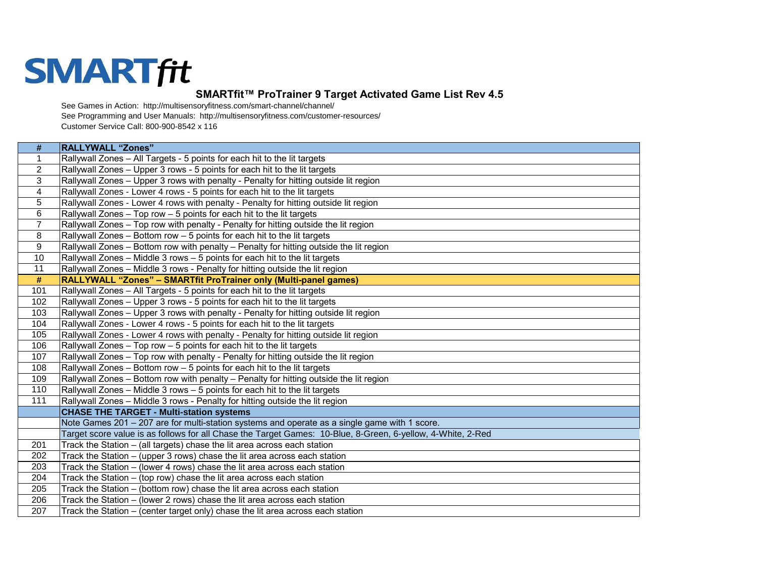## **SMARTfit**

## **SMARTfit™ ProTrainer 9 Target Activated Game List Rev 4.5**

See Games in Action: http://multisensoryfitness.com/smart-channel/channel/ See Programming and User Manuals: http://multisensoryfitness.com/customer-resources/ Customer Service Call: 800-900-8542 x 116

| #              | <b>RALLYWALL "Zones"</b>                                                                                    |
|----------------|-------------------------------------------------------------------------------------------------------------|
| $\mathbf{1}$   | Rallywall Zones - All Targets - 5 points for each hit to the lit targets                                    |
| $\overline{2}$ | Rallywall Zones - Upper 3 rows - 5 points for each hit to the lit targets                                   |
| 3              | Rallywall Zones - Upper 3 rows with penalty - Penalty for hitting outside lit region                        |
| 4              | Rallywall Zones - Lower 4 rows - 5 points for each hit to the lit targets                                   |
| 5              | Rallywall Zones - Lower 4 rows with penalty - Penalty for hitting outside lit region                        |
| 6              | Rallywall Zones - Top row - 5 points for each hit to the lit targets                                        |
| $\overline{7}$ | Rallywall Zones - Top row with penalty - Penalty for hitting outside the lit region                         |
| 8              | Rallywall Zones - Bottom row - 5 points for each hit to the lit targets                                     |
| 9              | Rallywall Zones - Bottom row with penalty - Penalty for hitting outside the lit region                      |
| 10             | Rallywall Zones - Middle 3 rows - 5 points for each hit to the lit targets                                  |
| 11             | Rallywall Zones - Middle 3 rows - Penalty for hitting outside the lit region                                |
| #              | RALLYWALL "Zones" - SMARTfit ProTrainer only (Multi-panel games)                                            |
| 101            | Rallywall Zones - All Targets - 5 points for each hit to the lit targets                                    |
| 102            | Rallywall Zones - Upper 3 rows - 5 points for each hit to the lit targets                                   |
| 103            | Rallywall Zones - Upper 3 rows with penalty - Penalty for hitting outside lit region                        |
| 104            | Rallywall Zones - Lower 4 rows - 5 points for each hit to the lit targets                                   |
| 105            | Rallywall Zones - Lower 4 rows with penalty - Penalty for hitting outside lit region                        |
| 106            | Rallywall Zones - Top row - 5 points for each hit to the lit targets                                        |
| 107            | Rallywall Zones - Top row with penalty - Penalty for hitting outside the lit region                         |
| 108            | Rallywall Zones $-$ Bottom row $-$ 5 points for each hit to the lit targets                                 |
| 109            | Rallywall Zones - Bottom row with penalty - Penalty for hitting outside the lit region                      |
| 110            | Rallywall Zones - Middle 3 rows - 5 points for each hit to the lit targets                                  |
| 111            | Rallywall Zones - Middle 3 rows - Penalty for hitting outside the lit region                                |
|                | <b>CHASE THE TARGET - Multi-station systems</b>                                                             |
|                | Note Games 201 - 207 are for multi-station systems and operate as a single game with 1 score.               |
|                | Target score value is as follows for all Chase the Target Games: 10-Blue, 8-Green, 6-yellow, 4-White, 2-Red |
| 201            | Track the Station - (all targets) chase the lit area across each station                                    |
| 202            | Track the Station - (upper 3 rows) chase the lit area across each station                                   |
| 203            | Track the Station - (lower 4 rows) chase the lit area across each station                                   |
| 204            | Track the Station - (top row) chase the lit area across each station                                        |
| 205            | Track the Station - (bottom row) chase the lit area across each station                                     |
| 206            | Track the Station - (lower 2 rows) chase the lit area across each station                                   |
| 207            | Track the Station - (center target only) chase the lit area across each station                             |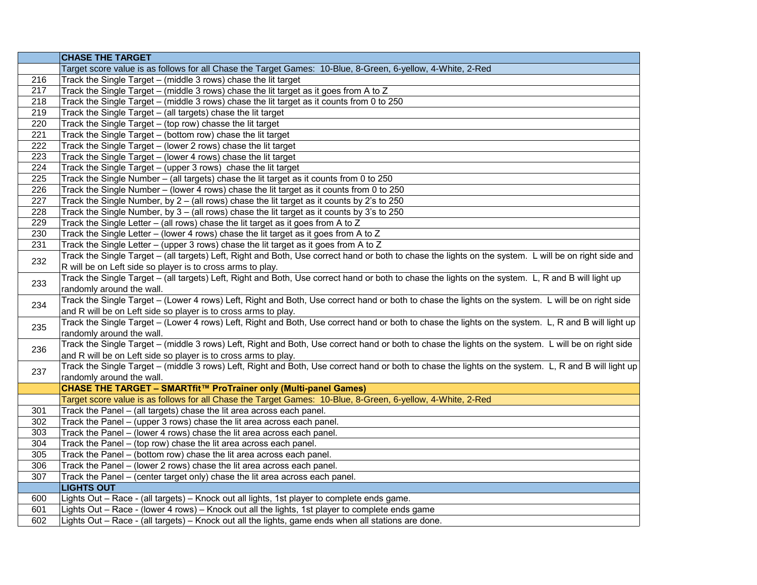|            | <b>CHASE THE TARGET</b>                                                                                                                               |
|------------|-------------------------------------------------------------------------------------------------------------------------------------------------------|
|            | Target score value is as follows for all Chase the Target Games: 10-Blue, 8-Green, 6-yellow, 4-White, 2-Red                                           |
| 216        | Track the Single Target - (middle 3 rows) chase the lit target                                                                                        |
| 217        | Track the Single Target - (middle 3 rows) chase the lit target as it goes from A to Z                                                                 |
| 218        | Track the Single Target - (middle 3 rows) chase the lit target as it counts from 0 to 250                                                             |
| 219        | Track the Single Target - (all targets) chase the lit target                                                                                          |
| 220        | Track the Single Target - (top row) chasse the lit target                                                                                             |
| 221        | Track the Single Target - (bottom row) chase the lit target                                                                                           |
| 222        | Track the Single Target - (lower 2 rows) chase the lit target                                                                                         |
| 223        | Track the Single Target - (lower 4 rows) chase the lit target                                                                                         |
| 224        | Track the Single Target - (upper 3 rows) chase the lit target                                                                                         |
| 225        | Track the Single Number - (all targets) chase the lit target as it counts from 0 to 250                                                               |
| 226        | Track the Single Number - (lower 4 rows) chase the lit target as it counts from 0 to 250                                                              |
| 227        | Track the Single Number, by $2 - (all rows)$ chase the lit target as it counts by 2's to 250                                                          |
| 228        | Track the Single Number, by $3 - (all rows)$ chase the lit target as it counts by 3's to 250                                                          |
| 229        | Track the Single Letter - (all rows) chase the lit target as it goes from A to Z                                                                      |
| 230        | Track the Single Letter - (lower 4 rows) chase the lit target as it goes from A to Z                                                                  |
| 231        | Track the Single Letter - (upper 3 rows) chase the lit target as it goes from A to Z                                                                  |
| 232        | Track the Single Target – (all targets) Left, Right and Both, Use correct hand or both to chase the lights on the system. L will be on right side and |
|            | R will be on Left side so player is to cross arms to play.                                                                                            |
| 233        | Track the Single Target – (all targets) Left, Right and Both, Use correct hand or both to chase the lights on the system. L, R and B will light up    |
|            | randomly around the wall.                                                                                                                             |
| 234        | Track the Single Target - (Lower 4 rows) Left, Right and Both, Use correct hand or both to chase the lights on the system. L will be on right side    |
|            | and R will be on Left side so player is to cross arms to play.                                                                                        |
| 235        | Track the Single Target - (Lower 4 rows) Left, Right and Both, Use correct hand or both to chase the lights on the system. L, R and B will light up   |
|            | randomly around the wall.                                                                                                                             |
| 236        | Track the Single Target – (middle 3 rows) Left, Right and Both, Use correct hand or both to chase the lights on the system. L will be on right side   |
|            | and R will be on Left side so player is to cross arms to play.                                                                                        |
| 237        | Track the Single Target – (middle 3 rows) Left, Right and Both, Use correct hand or both to chase the lights on the system. L, R and B will light up  |
|            | randomly around the wall.                                                                                                                             |
|            | CHASE THE TARGET - SMARTfit™ ProTrainer only (Multi-panel Games)                                                                                      |
|            | Target score value is as follows for all Chase the Target Games: 10-Blue, 8-Green, 6-yellow, 4-White, 2-Red                                           |
| 301        | Track the Panel - (all targets) chase the lit area across each panel.                                                                                 |
| 302        | Track the Panel - (upper 3 rows) chase the lit area across each panel.                                                                                |
| 303        | Track the Panel - (lower 4 rows) chase the lit area across each panel.                                                                                |
| 304        | Track the Panel - (top row) chase the lit area across each panel.                                                                                     |
| 305        | Track the Panel - (bottom row) chase the lit area across each panel.                                                                                  |
| 306        | Track the Panel - (lower 2 rows) chase the lit area across each panel.                                                                                |
| 307        | Track the Panel - (center target only) chase the lit area across each panel.<br><b>LIGHTS OUT</b>                                                     |
|            |                                                                                                                                                       |
| 600        | Lights Out - Race - (all targets) - Knock out all lights, 1st player to complete ends game.                                                           |
| 601<br>602 | Lights Out – Race - (lower 4 rows) – Knock out all the lights, 1st player to complete ends game                                                       |
|            | Lights Out - Race - (all targets) - Knock out all the lights, game ends when all stations are done.                                                   |